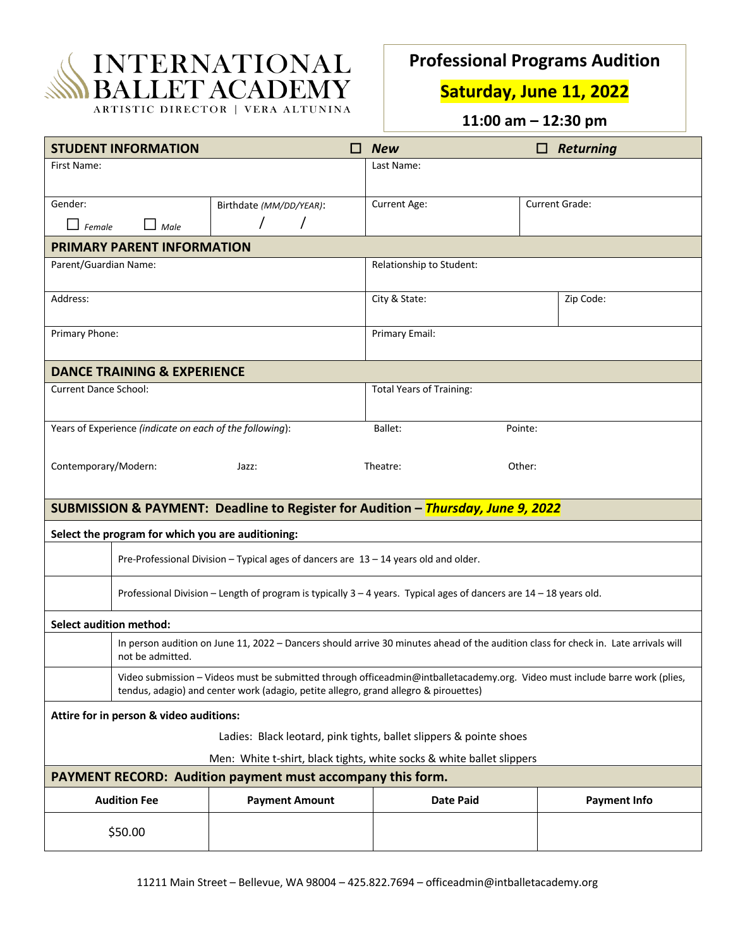

ARTISTIC DIRECTOR | VERA ALTUNINA

## **Professional Programs Audition**

**Saturday, June 11, 2022**

**11:00 am – 12:30 pm**

| <b>STUDENT INFORMATION</b>                                                                                                                                                                                          | П                       | <b>New</b>                      | Returning           |  |
|---------------------------------------------------------------------------------------------------------------------------------------------------------------------------------------------------------------------|-------------------------|---------------------------------|---------------------|--|
| First Name:                                                                                                                                                                                                         |                         | Last Name:                      |                     |  |
|                                                                                                                                                                                                                     |                         |                                 |                     |  |
| Gender:                                                                                                                                                                                                             | Birthdate (MM/DD/YEAR): | Current Age:                    | Current Grade:      |  |
| $\Box$ Female<br>Male                                                                                                                                                                                               |                         |                                 |                     |  |
| <b>PRIMARY PARENT INFORMATION</b>                                                                                                                                                                                   |                         |                                 |                     |  |
| Parent/Guardian Name:                                                                                                                                                                                               |                         | Relationship to Student:        |                     |  |
| Address:                                                                                                                                                                                                            |                         | City & State:                   | Zip Code:           |  |
| Primary Phone:                                                                                                                                                                                                      |                         | Primary Email:                  |                     |  |
| <b>DANCE TRAINING &amp; EXPERIENCE</b>                                                                                                                                                                              |                         |                                 |                     |  |
| <b>Current Dance School:</b>                                                                                                                                                                                        |                         | <b>Total Years of Training:</b> |                     |  |
| Years of Experience (indicate on each of the following):                                                                                                                                                            |                         | Ballet:                         | Pointe:             |  |
|                                                                                                                                                                                                                     |                         |                                 |                     |  |
| Contemporary/Modern:<br>Theatre:<br>Other:<br>Jazz:                                                                                                                                                                 |                         |                                 |                     |  |
| SUBMISSION & PAYMENT: Deadline to Register for Audition - Thursday, June 9, 2022                                                                                                                                    |                         |                                 |                     |  |
| Select the program for which you are auditioning:                                                                                                                                                                   |                         |                                 |                     |  |
| Pre-Professional Division - Typical ages of dancers are 13 - 14 years old and older.                                                                                                                                |                         |                                 |                     |  |
| Professional Division - Length of program is typically 3 - 4 years. Typical ages of dancers are 14 - 18 years old.                                                                                                  |                         |                                 |                     |  |
| <b>Select audition method:</b>                                                                                                                                                                                      |                         |                                 |                     |  |
| In person audition on June 11, 2022 - Dancers should arrive 30 minutes ahead of the audition class for check in. Late arrivals will<br>not be admitted.                                                             |                         |                                 |                     |  |
| Video submission - Videos must be submitted through officeadmin@intballetacademy.org. Video must include barre work (plies,<br>tendus, adagio) and center work (adagio, petite allegro, grand allegro & pirouettes) |                         |                                 |                     |  |
| Attire for in person & video auditions:                                                                                                                                                                             |                         |                                 |                     |  |
| Ladies: Black leotard, pink tights, ballet slippers & pointe shoes                                                                                                                                                  |                         |                                 |                     |  |
| Men: White t-shirt, black tights, white socks & white ballet slippers                                                                                                                                               |                         |                                 |                     |  |
| PAYMENT RECORD: Audition payment must accompany this form.                                                                                                                                                          |                         |                                 |                     |  |
| <b>Audition Fee</b>                                                                                                                                                                                                 | <b>Payment Amount</b>   | <b>Date Paid</b>                | <b>Payment Info</b> |  |
| \$50.00                                                                                                                                                                                                             |                         |                                 |                     |  |